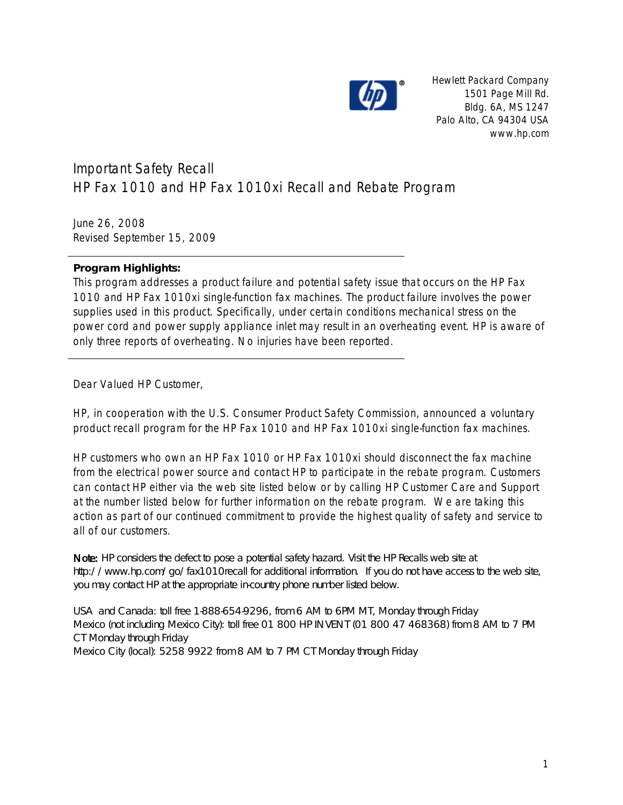

Hewlett Packard Company 1501 Page Mill Rd. Bldg. 6A, MS 1247 Palo Alto, CA 94304 USA www.hp.com

## Important Safety Recall HP Fax 1010 and HP Fax 1010xi Recall and Rebate Program

June 26, 2008 Revised September 15, 2009

**Program Highlights:**

This program addresses a product failure and potential safety issue that occurs on the HP Fax 1010 and HP Fax 1010xi single-function fax machines. The product failure involves the power supplies used in this product. Specifically, under certain conditions mechanical stress on the power cord and power supply appliance inlet may result in an overheating event. HP is aware of only three reports of overheating. No injuries have been reported.

Dear Valued HP Customer,

HP, in cooperation with the U.S. Consumer Product Safety Commission, announced a voluntary product recall program for the HP Fax 1010 and HP Fax 1010xi single-function fax machines.

HP customers who own an HP Fax 1010 or HP Fax 1010xi should disconnect the fax machine from the electrical power source and contact HP to participate in the rebate program. Customers can contact HP either via the web site listed below or by calling HP Customer Care and Support at the number listed below for further information on the rebate program. We are taking this action as part of our continued commitment to provide the highest quality of safety and service to all of our customers.

Note: HP considers the defect to pose a potential safety hazard. Visit the HP Recalls web site at http://www.hp.com/go/fax1010recall for additional information. If you do not have access to the web site, you may contact HP at the appropriate in-country phone number listed below.

USA and Canada: toll free 1-888-654-9296, from 6 AM to 6PM MT, Monday through Friday Mexico (not including Mexico City): toll free 01 800 HP INVENT (01 800 47 468368) from 8 AM to 7 PM CT Monday through Friday Mexico City (local): 5258 9922 from 8 AM to 7 PM CT Monday through Friday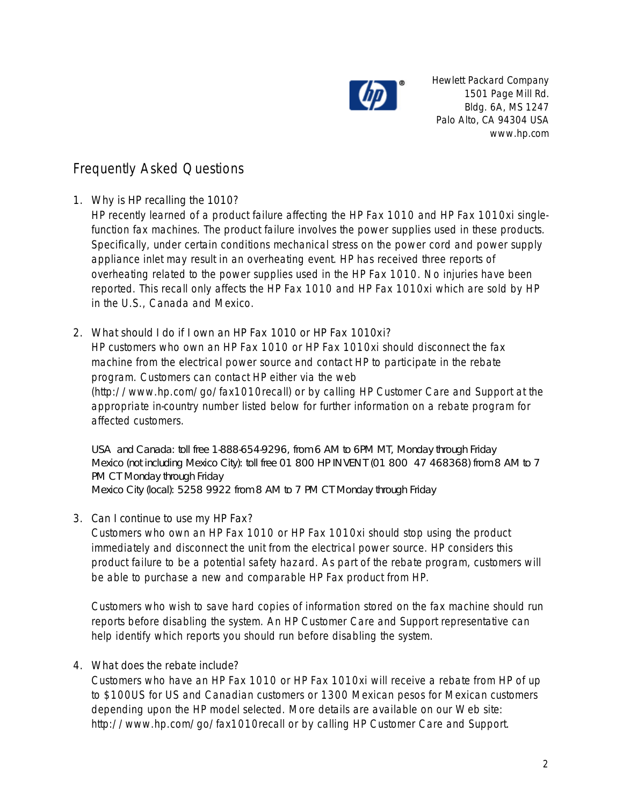

Hewlett Packard Company 1501 Page Mill Rd. Bldg. 6A, MS 1247 Palo Alto, CA 94304 USA www.hp.com

## Frequently Asked Questions

1. Why is HP recalling the 1010?

HP recently learned of a product failure affecting the HP Fax 1010 and HP Fax 1010xi singlefunction fax machines. The product failure involves the power supplies used in these products. Specifically, under certain conditions mechanical stress on the power cord and power supply appliance inlet may result in an overheating event. HP has received three reports of overheating related to the power supplies used in the HP Fax 1010. No injuries have been reported. This recall only affects the HP Fax 1010 and HP Fax 1010xi which are sold by HP in the U.S., Canada and Mexico.

2. What should I do if I own an HP Fax 1010 or HP Fax 1010xi? HP customers who own an HP Fax 1010 or HP Fax 1010xi should disconnect the fax machine from the electrical power source and contact HP to participate in the rebate program. Customers can contact HP either via the web (http://www.hp.com/go/fax1010recall) or by calling HP Customer Care and Support at the appropriate in-country number listed below for further information on a rebate program for affected customers.

USA and Canada: toll free 1-888-654-9296, from 6 AM to 6PM MT, Monday through Friday Mexico (not including Mexico City): toll free 01 800 HP INVENT (01 800 47 468368) from 8 AM to 7 PM CT Monday through Friday Mexico City (local): 5258 9922 from 8 AM to 7 PM CT Monday through Friday

3. Can I continue to use my HP Fax?

Customers who own an HP Fax 1010 or HP Fax 1010xi should stop using the product immediately and disconnect the unit from the electrical power source. HP considers this product failure to be a potential safety hazard. As part of the rebate program, customers will be able to purchase a new and comparable HP Fax product from HP.

Customers who wish to save hard copies of information stored on the fax machine should run reports before disabling the system. An HP Customer Care and Support representative can help identify which reports you should run before disabling the system.

## 4. What does the rebate include?

Customers who have an HP Fax 1010 or HP Fax 1010xi will receive a rebate from HP of up to \$100US for US and Canadian customers or 1300 Mexican pesos for Mexican customers depending upon the HP model selected. More details are available on our Web site: http://www.hp.com/go/fax1010recall or by calling HP Customer Care and Support.